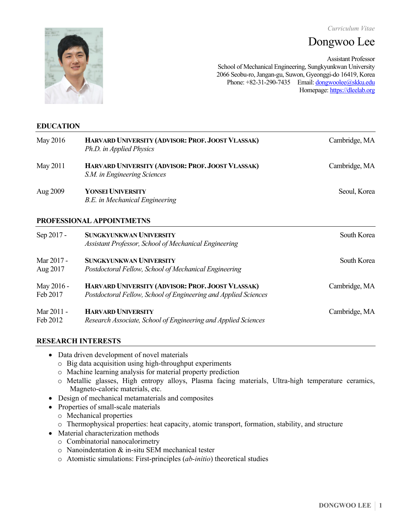*Curriculum Vitae* 

# Dongwoo Lee



Assistant Professor School of Mechanical Engineering, Sungkyunkwan University 2066 Seobu-ro, Jangan-gu, Suwon, Gyeonggi-do 16419, Korea Phone: +82-31-290-7435 Email: dongwoolee@skku.edu Homepage: https://dleelab.org

# **EDUCATION**

| May 2016               | HARVARD UNIVERSITY (ADVISOR: PROF. JOOST VLASSAK)<br>Ph.D. in Applied Physics                                        | Cambridge, MA |
|------------------------|----------------------------------------------------------------------------------------------------------------------|---------------|
| May 2011               | HARVARD UNIVERSITY (ADVISOR: PROF. JOOST VLASSAK)<br>S.M. in Engineering Sciences                                    | Cambridge, MA |
| Aug 2009               | <b>YONSEI UNIVERSITY</b><br>B.E. in Mechanical Engineering                                                           | Seoul, Korea  |
|                        | PROFESSIONAL APPOINTMETNS                                                                                            |               |
| Sep 2017 -             | <b>SUNGKYUNKWAN UNIVERSITY</b><br>Assistant Professor, School of Mechanical Engineering                              | South Korea   |
| Mar 2017 -<br>Aug 2017 | <b>SUNGKYUNKWAN UNIVERSITY</b><br>Postdoctoral Fellow, School of Mechanical Engineering                              | South Korea   |
| May 2016 -<br>Feb 2017 | HARVARD UNIVERSITY (ADVISOR: PROF. JOOST VLASSAK)<br>Postdoctoral Fellow, School of Engineering and Applied Sciences | Cambridge, MA |
| Mar 2011 -<br>Feb 2012 | <b>HARVARD UNIVERSITY</b><br>Research Associate, School of Engineering and Applied Sciences                          | Cambridge, MA |

# **RESEARCH INTERESTS**

- Data driven development of novel materials
	- o Big data acquisition using high-throughput experiments
	- o Machine learning analysis for material property prediction
	- o Metallic glasses, High entropy alloys, Plasma facing materials, Ultra-high temperature ceramics, Magneto-caloric materials, etc.
- Design of mechanical metamaterials and composites
- Properties of small-scale materials
	- o Mechanical properties
	- o Thermophysical properties: heat capacity, atomic transport, formation, stability, and structure
- Material characterization methods
	- o Combinatorial nanocalorimetry
	- o Nanoindentation & in-situ SEM mechanical tester
	- o Atomistic simulations: First-principles (*ab-initio*) theoretical studies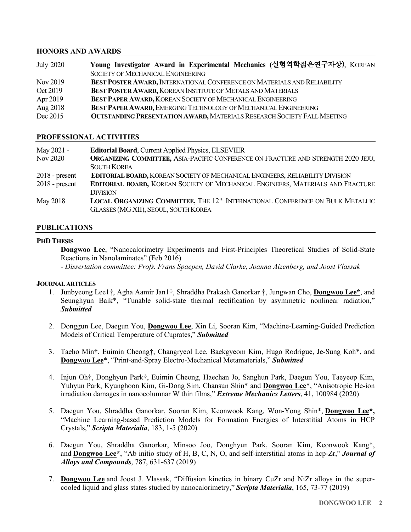# **HONORS AND AWARDS**

| <b>July 2020</b> | Young Investigator Award in Experimental Mechanics (실험역학젊은연구자상), KOREAN        |  |
|------------------|--------------------------------------------------------------------------------|--|
|                  | <b>SOCIETY OF MECHANICAL ENGINEERING</b>                                       |  |
| Nov 2019         | BEST POSTER AWARD, INTERNATIONAL CONFERENCE ON MATERIALS AND RELIABILITY       |  |
| Oct 2019         | BEST POSTER AWARD, KOREAN INSTITUTE OF METALS AND MATERIALS                    |  |
| Apr 2019         | BEST PAPER AWARD, KOREAN SOCIETY OF MECHANICAL ENGINEERING                     |  |
| Aug 2018         | BEST PAPER AWARD, EMERGING TECHNOLOGY OF MECHANICAL ENGINEERING                |  |
| Dec 2015         | <b>OUTSTANDING PRESENTATION AWARD, MATERIALS RESEARCH SOCIETY FALL MEETING</b> |  |

#### **PROFESSIONAL ACTIVITIES**

| May 2021 -       | <b>Editorial Board, Current Applied Physics, ELSEVIER</b>                                                                                |  |
|------------------|------------------------------------------------------------------------------------------------------------------------------------------|--|
| Nov 2020         | <b>ORGANIZING COMMITTEE, ASIA-PACIFIC CONFERENCE ON FRACTURE AND STRENGTH 2020 JEJU,</b>                                                 |  |
|                  | <b>SOUTH KOREA</b>                                                                                                                       |  |
| $2018$ - present | <b>EDITORIAL BOARD, KOREAN SOCIETY OF MECHANICAL ENGINEERS, RELIABILITY DIVISION</b>                                                     |  |
| $2018$ - present | <b>EDITORIAL BOARD, KOREAN SOCIETY OF MECHANICAL ENGINEERS, MATERIALS AND FRACTURE</b>                                                   |  |
|                  | <b>DIVISION</b>                                                                                                                          |  |
| May 2018         | <b>LOCAL ORGANIZING COMMITTEE, THE 12<sup>TH</sup></b> INTERNATIONAL CONFERENCE ON BULK METALLIC<br>GLASSES (MG XII), SEOUL, SOUTH KOREA |  |

#### **PUBLICATIONS**

#### **PHD THESIS**

**Dongwoo Lee**, "Nanocalorimetry Experiments and First-Principles Theoretical Studies of Solid-State Reactions in Nanolaminates" (Feb 2016)

*- Dissertation committee: Profs. Frans Spaepen, David Clarke, Joanna Aizenberg, and Joost Vlassak*

#### **JOURNAL ARTICLES**

- 1. Junbyeong Lee1†, Agha Aamir Jan1†, Shraddha Prakash Ganorkar †, Jungwan Cho, **Dongwoo Lee\***, and Seunghyun Baik\*, "Tunable solid-state thermal rectification by asymmetric nonlinear radiation," *Submitted*
- 2. Donggun Lee, Daegun You, **Dongwoo Lee**, Xin Li, Sooran Kim, "Machine-Learning-Guided Prediction Models of Critical Temperature of Cuprates," *Submitted*
- 3. Taeho Min†, Euimin Cheong†, Changryeol Lee, Baekgyeom Kim, Hugo Rodrigue, Je-Sung Koh\*, and **Dongwoo Lee**\*, "Print-and-Spray Electro-Mechanical Metamaterials," *Submitted*
- 4. Injun Oh†, Donghyun Park†, Euimin Cheong, Haechan Jo, Sanghun Park, Daegun You, Taeyeop Kim, Yuhyun Park, Kyunghoon Kim, Gi-Dong Sim, Chansun Shin\* and **Dongwoo Lee**\*, "Anisotropic He-ion irradiation damages in nanocolumnar W thin films," *Extreme Mechanics Letters*, 41, 100984 (2020)
- 5. Daegun You, Shraddha Ganorkar, Sooran Kim, Keonwook Kang, Won-Yong Shin\*, **Dongwoo Lee\*,** "Machine Learning-based Prediction Models for Formation Energies of Interstitial Atoms in HCP Crystals," *Scripta Materialia*, 183, 1-5 (2020)
- 6. Daegun You, Shraddha Ganorkar, Minsoo Joo, Donghyun Park, Sooran Kim, Keonwook Kang\*, and **Dongwoo Lee\***, "Ab initio study of H, B, C, N, O, and self-interstitial atoms in hcp-Zr," *Journal of Alloys and Compounds*, 787, 631-637 (2019)
- 7. **Dongwoo Lee** and Joost J. Vlassak, "Diffusion kinetics in binary CuZr and NiZr alloys in the supercooled liquid and glass states studied by nanocalorimetry," *Scripta Materialia*, 165, 73-77 (2019)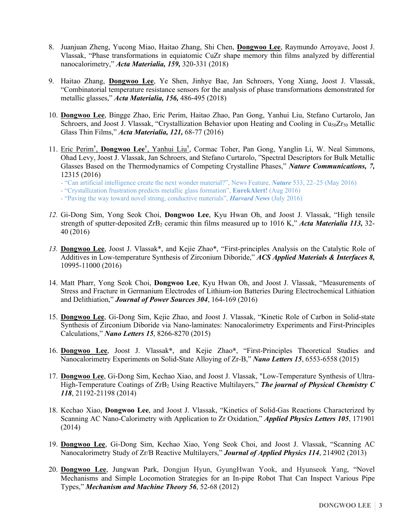- 8. Juanjuan Zheng, Yucong Miao, Haitao Zhang, Shi Chen, **Dongwoo Lee**, Raymundo Arroyave, Joost J. Vlassak, "Phase transformations in equiatomic CuZr shape memory thin films analyzed by differential nanocalorimetry," *Acta Materialia, 159,* 320-331 (2018)
- 9. Haitao Zhang, **Dongwoo Lee**, Ye Shen, Jinhye Bae, Jan Schroers, Yong Xiang, Joost J. Vlassak, "Combinatorial temperature resistance sensors for the analysis of phase transformations demonstrated for metallic glasses," *Acta Materialia, 156,* 486-495 (2018)
- 10. **Dongwoo Lee**, Bingge Zhao, Eric Perim, Haitao Zhao, Pan Gong, Yanhui Liu, Stefano Curtarolo, Jan Schroers, and Joost J. Vlassak, "Crystallization Behavior upon Heating and Cooling in  $Cu<sub>50</sub>Zr<sub>50</sub>$  Metallic Glass Thin Films," *Acta Materialia, 121,* 68-77 (2016)
- 11. Eric Perim**†** , **Dongwoo Lee†** , Yanhui Liu**†** , Cormac Toher, Pan Gong, Yanglin Li, W. Neal Simmons, Ohad Levy, Joost J. Vlassak, Jan Schroers, and Stefano Curtarolo, "Spectral Descriptors for Bulk Metallic Glasses Based on the Thermodynamics of Competing Crystalline Phases," *Nature Communications, 7,*  12315 (2016)
	- "Can artificial intelligence create the next wonder material?", News Feature, *Nature* 533, 22–25 (May 2016)
	- "Crystallization frustration predicts metallic glass formation", **EurekAlert!** (Aug 2016)
	- "Paving the way toward novel strong, conductive materials", *Harvard News* (July 2016)
- *12.* Gi-Dong Sim, Yong Seok Choi, **Dongwoo Lee**, Kyu Hwan Oh, and Joost J. Vlassak, "High tensile strength of sputter-deposited ZrB<sub>2</sub> ceramic thin films measured up to 1016 K," *Acta Materialia 113*, 32-40 (2016)
- *13.* **Dongwoo Lee**, Joost J. Vlassak\*, and Kejie Zhao\*, "First-principles Analysis on the Catalytic Role of Additives in Low-temperature Synthesis of Zirconium Diboride," *ACS Applied Materials & Interfaces 8,*  10995-11000 (2016)
- 14. Matt Pharr, Yong Seok Choi, **Dongwoo Lee**, Kyu Hwan Oh, and Joost J. Vlassak, "Measurements of Stress and Fracture in Germanium Electrodes of Lithium-ion Batteries During Electrochemical Lithiation and Delithiation," *Journal of Power Sources 304*, 164-169 (2016)
- 15. **Dongwoo Lee**, Gi-Dong Sim, Kejie Zhao, and Joost J. Vlassak, "Kinetic Role of Carbon in Solid-state Synthesis of Zirconium Diboride via Nano-laminates: Nanocalorimetry Experiments and First-Principles Calculations," *Nano Letters 15*, 8266-8270 (2015)
- 16. **Dongwoo Lee**, Joost J. Vlassak**\***, and Kejie Zhao**\***, "First-Principles Theoretical Studies and Nanocalorimetry Experiments on Solid-State Alloying of Zr-B," *Nano Letters 15*, 6553-6558 (2015)
- 17. **Dongwoo Lee**, Gi-Dong Sim, Kechao Xiao, and Joost J. Vlassak, "Low-Temperature Synthesis of Ultra-High-Temperature Coatings of ZrB2 Using Reactive Multilayers," *The journal of Physical Chemistry C 118*, 21192-21198 (2014)
- 18. Kechao Xiao, **Dongwoo Lee**, and Joost J. Vlassak, "Kinetics of Solid-Gas Reactions Characterized by Scanning AC Nano-Calorimetry with Application to Zr Oxidation," *Applied Physics Letters 105*, 171901 (2014)
- 19. **Dongwoo Lee**, Gi-Dong Sim, Kechao Xiao, Yong Seok Choi, and Joost J. Vlassak, "Scanning AC Nanocalorimetry Study of Zr/B Reactive Multilayers," *Journal of Applied Physics 114*, 214902 (2013)
- 20. **Dongwoo Lee**, Jungwan Park, Dongjun Hyun, GyungHwan Yook, and Hyunseok Yang, "Novel Mechanisms and Simple Locomotion Strategies for an In-pipe Robot That Can Inspect Various Pipe Types," *Mechanism and Machine Theory 56*, 52-68 (2012)